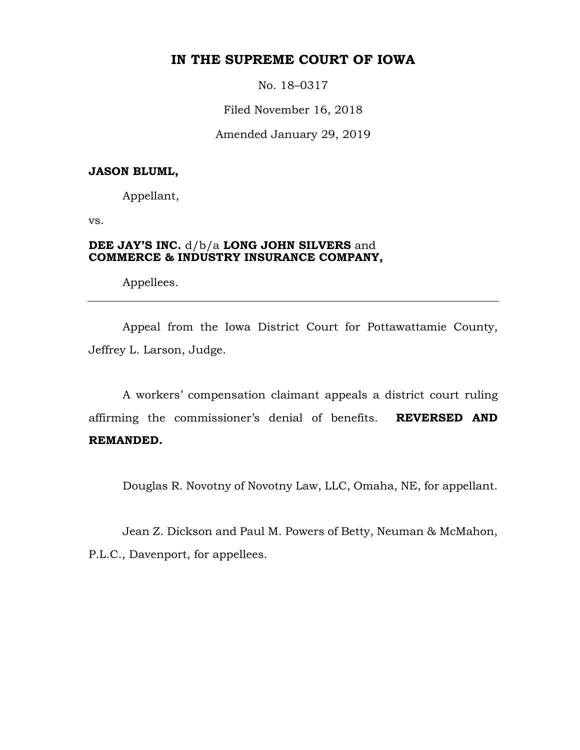# **IN THE SUPREME COURT OF IOWA**

No. 18–0317

Filed November 16, 2018

Amended January 29, 2019

## **JASON BLUML,**

Appellant,

vs.

# **DEE JAY'S INC.** d/b/a **LONG JOHN SILVERS** and **COMMERCE & INDUSTRY INSURANCE COMPANY,**

Appellees.

Appeal from the Iowa District Court for Pottawattamie County, Jeffrey L. Larson, Judge.

A workers' compensation claimant appeals a district court ruling affirming the commissioner's denial of benefits. **REVERSED AND REMANDED.**

Douglas R. Novotny of Novotny Law, LLC, Omaha, NE, for appellant.

Jean Z. Dickson and Paul M. Powers of Betty, Neuman & McMahon, P.L.C., Davenport, for appellees.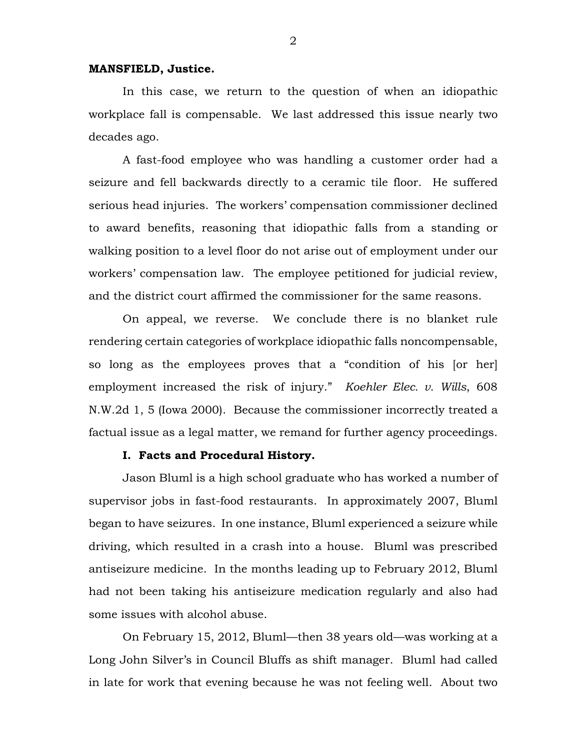#### **MANSFIELD, Justice.**

In this case, we return to the question of when an idiopathic workplace fall is compensable. We last addressed this issue nearly two decades ago.

A fast-food employee who was handling a customer order had a seizure and fell backwards directly to a ceramic tile floor. He suffered serious head injuries. The workers' compensation commissioner declined to award benefits, reasoning that idiopathic falls from a standing or walking position to a level floor do not arise out of employment under our workers' compensation law. The employee petitioned for judicial review, and the district court affirmed the commissioner for the same reasons.

On appeal, we reverse. We conclude there is no blanket rule rendering certain categories of workplace idiopathic falls noncompensable, so long as the employees proves that a "condition of his [or her] employment increased the risk of injury." *Koehler Elec. v. Wills*, 608 N.W.2d 1, 5 (Iowa 2000). Because the commissioner incorrectly treated a factual issue as a legal matter, we remand for further agency proceedings.

### **I. Facts and Procedural History.**

Jason Bluml is a high school graduate who has worked a number of supervisor jobs in fast-food restaurants. In approximately 2007, Bluml began to have seizures. In one instance, Bluml experienced a seizure while driving, which resulted in a crash into a house. Bluml was prescribed antiseizure medicine. In the months leading up to February 2012, Bluml had not been taking his antiseizure medication regularly and also had some issues with alcohol abuse.

On February 15, 2012, Bluml—then 38 years old—was working at a Long John Silver's in Council Bluffs as shift manager. Bluml had called in late for work that evening because he was not feeling well. About two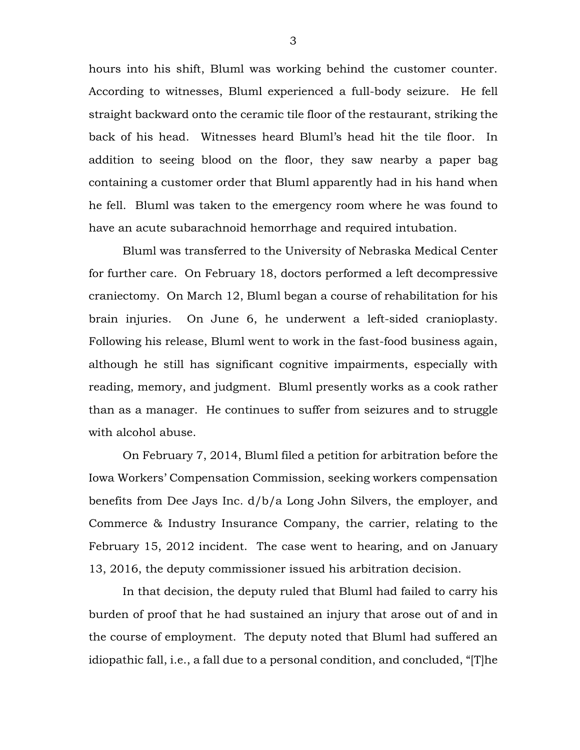hours into his shift, Bluml was working behind the customer counter. According to witnesses, Bluml experienced a full-body seizure. He fell straight backward onto the ceramic tile floor of the restaurant, striking the back of his head. Witnesses heard Bluml's head hit the tile floor. In addition to seeing blood on the floor, they saw nearby a paper bag containing a customer order that Bluml apparently had in his hand when he fell. Bluml was taken to the emergency room where he was found to have an acute subarachnoid hemorrhage and required intubation.

Bluml was transferred to the University of Nebraska Medical Center for further care. On February 18, doctors performed a left decompressive craniectomy. On March 12, Bluml began a course of rehabilitation for his brain injuries. On June 6, he underwent a left-sided cranioplasty. Following his release, Bluml went to work in the fast-food business again, although he still has significant cognitive impairments, especially with reading, memory, and judgment. Bluml presently works as a cook rather than as a manager. He continues to suffer from seizures and to struggle with alcohol abuse.

On February 7, 2014, Bluml filed a petition for arbitration before the Iowa Workers' Compensation Commission, seeking workers compensation benefits from Dee Jays Inc. d/b/a Long John Silvers, the employer, and Commerce & Industry Insurance Company, the carrier, relating to the February 15, 2012 incident. The case went to hearing, and on January 13, 2016, the deputy commissioner issued his arbitration decision.

In that decision, the deputy ruled that Bluml had failed to carry his burden of proof that he had sustained an injury that arose out of and in the course of employment. The deputy noted that Bluml had suffered an idiopathic fall, i.e., a fall due to a personal condition, and concluded, "[T]he

3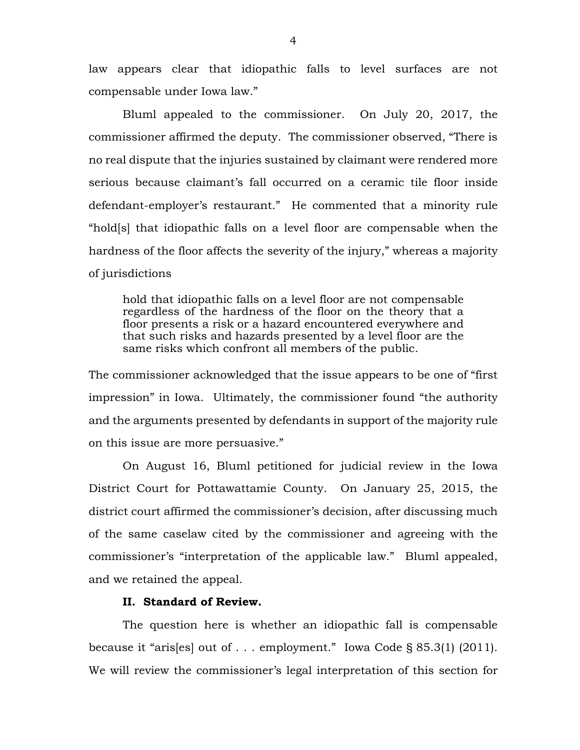law appears clear that idiopathic falls to level surfaces are not compensable under Iowa law."

Bluml appealed to the commissioner. On July 20, 2017, the commissioner affirmed the deputy. The commissioner observed, "There is no real dispute that the injuries sustained by claimant were rendered more serious because claimant's fall occurred on a ceramic tile floor inside defendant-employer's restaurant." He commented that a minority rule "hold[s] that idiopathic falls on a level floor are compensable when the hardness of the floor affects the severity of the injury," whereas a majority of jurisdictions

hold that idiopathic falls on a level floor are not compensable regardless of the hardness of the floor on the theory that a floor presents a risk or a hazard encountered everywhere and that such risks and hazards presented by a level floor are the same risks which confront all members of the public.

The commissioner acknowledged that the issue appears to be one of "first impression" in Iowa. Ultimately, the commissioner found "the authority and the arguments presented by defendants in support of the majority rule on this issue are more persuasive."

On August 16, Bluml petitioned for judicial review in the Iowa District Court for Pottawattamie County. On January 25, 2015, the district court affirmed the commissioner's decision, after discussing much of the same caselaw cited by the commissioner and agreeing with the commissioner's "interpretation of the applicable law." Bluml appealed, and we retained the appeal.

# **II. Standard of Review.**

The question here is whether an idiopathic fall is compensable because it "aris[es] out of . . . employment." Iowa Code § 85.3(1) (2011). We will review the commissioner's legal interpretation of this section for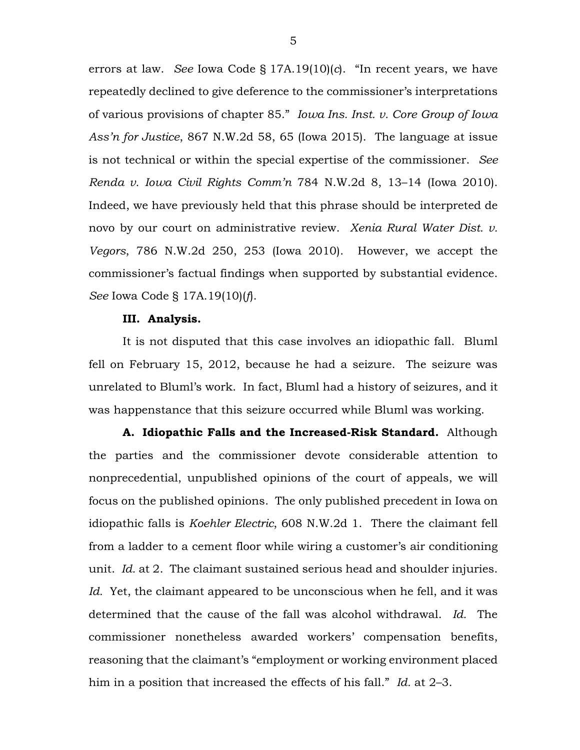errors at law. *See* Iowa Code § 17A.19(10)(*c*). "In recent years, we have repeatedly declined to give deference to the commissioner's interpretations of various provisions of chapter 85." *Iowa Ins. Inst. v. Core Group of Iowa Ass'n for Justice*, 867 N.W.2d 58, 65 (Iowa 2015). The language at issue is not technical or within the special expertise of the commissioner. *See Renda v. Iowa Civil Rights Comm'n* 784 N.W.2d 8, 13–14 (Iowa 2010). Indeed, we have previously held that this phrase should be interpreted de novo by our court on administrative review. *Xenia Rural Water Dist. v. Vegors*, 786 N.W.2d 250, 253 (Iowa 2010). However, we accept the commissioner's factual findings when supported by substantial evidence. *See* Iowa Code § 17A.19(10)(*f*).

#### **III. Analysis.**

It is not disputed that this case involves an idiopathic fall. Bluml fell on February 15, 2012, because he had a seizure. The seizure was unrelated to Bluml's work. In fact, Bluml had a history of seizures, and it was happenstance that this seizure occurred while Bluml was working.

**A. Idiopathic Falls and the Increased-Risk Standard.** Although the parties and the commissioner devote considerable attention to nonprecedential, unpublished opinions of the court of appeals, we will focus on the published opinions. The only published precedent in Iowa on idiopathic falls is *Koehler Electric*, 608 N.W.2d 1. There the claimant fell from a ladder to a cement floor while wiring a customer's air conditioning unit. *Id.* at 2. The claimant sustained serious head and shoulder injuries. *Id.* Yet, the claimant appeared to be unconscious when he fell, and it was determined that the cause of the fall was alcohol withdrawal. *Id.* The commissioner nonetheless awarded workers' compensation benefits, reasoning that the claimant's "employment or working environment placed him in a position that increased the effects of his fall." *Id.* at 2–3.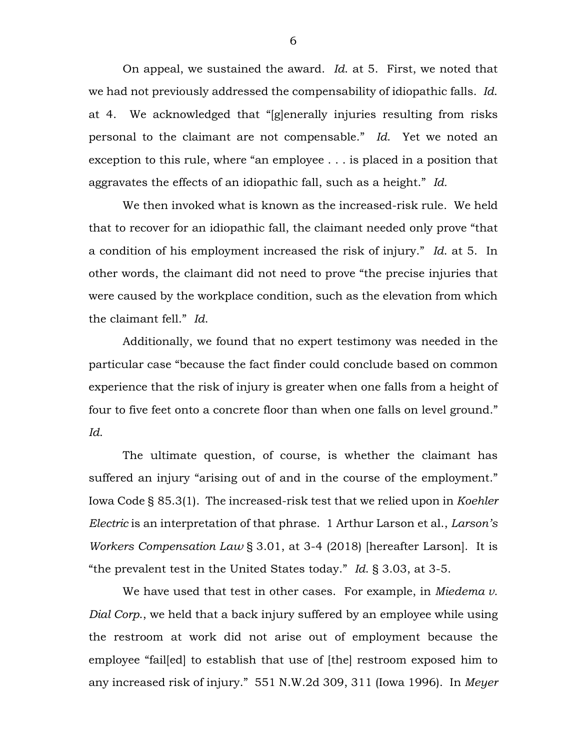On appeal, we sustained the award. *Id*. at 5. First, we noted that we had not previously addressed the compensability of idiopathic falls. *Id*. at 4. We acknowledged that "[g]enerally injuries resulting from risks personal to the claimant are not compensable." *Id*. Yet we noted an exception to this rule, where "an employee . . . is placed in a position that aggravates the effects of an idiopathic fall, such as a height." *Id.*

We then invoked what is known as the increased-risk rule. We held that to recover for an idiopathic fall, the claimant needed only prove "that a condition of his employment increased the risk of injury." *Id*. at 5. In other words, the claimant did not need to prove "the precise injuries that were caused by the workplace condition, such as the elevation from which the claimant fell." *Id*.

Additionally, we found that no expert testimony was needed in the particular case "because the fact finder could conclude based on common experience that the risk of injury is greater when one falls from a height of four to five feet onto a concrete floor than when one falls on level ground." *Id*.

The ultimate question, of course, is whether the claimant has suffered an injury "arising out of and in the course of the employment." Iowa Code § 85.3(1). The increased-risk test that we relied upon in *Koehler Electric* is an interpretation of that phrase. 1 Arthur Larson et al., *Larson's Workers Compensation Law* § 3.01, at 3-4 (2018) [hereafter Larson]. It is "the prevalent test in the United States today." *Id*. § 3.03, at 3-5.

We have used that test in other cases. For example, in *Miedema v. Dial Corp*., we held that a back injury suffered by an employee while using the restroom at work did not arise out of employment because the employee "fail[ed] to establish that use of [the] restroom exposed him to any increased risk of injury." 551 N.W.2d 309, 311 (Iowa 1996). In *Meyer*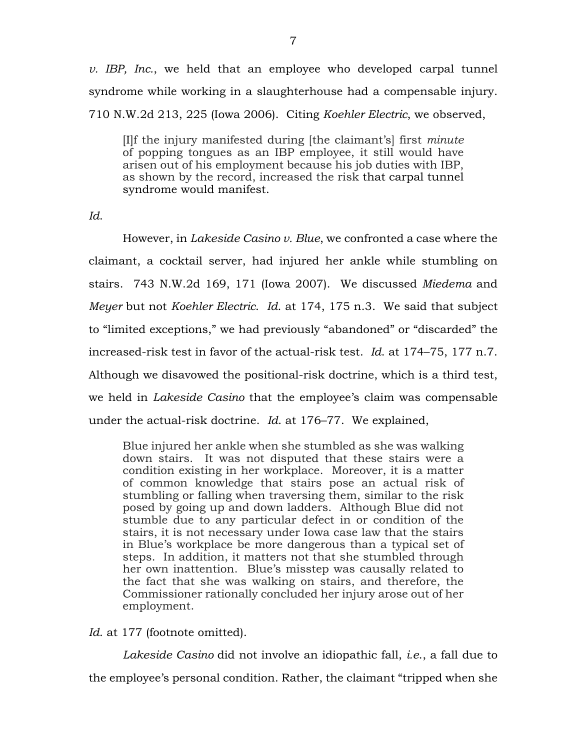*v. IBP, Inc.*, we held that an employee who developed carpal tunnel syndrome while working in a slaughterhouse had a compensable injury. 710 N.W.2d 213, 225 (Iowa 2006). Citing *Koehler Electric*, we observed,

[I]f the injury manifested during [the claimant's] first *minute* of popping tongues as an IBP employee, it still would have arisen out of his employment because his job duties with IBP, as shown by the record, increased the risk that [carpal tunnel](https://1.next.westlaw.com/Link/Document/FullText?entityType=disease&entityId=Ic8ede3c4475411db9765f9243f53508a&originationContext=document&transitionType=DocumentItem&contextData=(sc.Default))  [syndrome](https://1.next.westlaw.com/Link/Document/FullText?entityType=disease&entityId=Ic8ede3c4475411db9765f9243f53508a&originationContext=document&transitionType=DocumentItem&contextData=(sc.Default)) would manifest.

*Id*.

However, in *Lakeside Casino v. Blue*, we confronted a case where the claimant, a cocktail server, had injured her ankle while stumbling on stairs. 743 N.W.2d 169, 171 (Iowa 2007). We discussed *Miedema* and *Meyer* but not *Koehler Electric*. *Id*. at 174, 175 n.3. We said that subject to "limited exceptions," we had previously "abandoned" or "discarded" the increased-risk test in favor of the actual-risk test. *Id*. at 174–75, 177 n.7. Although we disavowed the positional-risk doctrine, which is a third test, we held in *Lakeside Casino* that the employee's claim was compensable under the actual-risk doctrine. *Id*. at 176–77. We explained,

Blue injured her ankle when she stumbled as she was walking down stairs. It was not disputed that these stairs were a condition existing in her workplace. Moreover, it is a matter of common knowledge that stairs pose an actual risk of stumbling or falling when traversing them, similar to the risk posed by going up and down ladders. Although Blue did not stumble due to any particular defect in or condition of the stairs, it is not necessary under Iowa case law that the stairs in Blue's workplace be more dangerous than a typical set of steps. In addition, it matters not that she stumbled through her own inattention. Blue's misstep was causally related to the fact that she was walking on stairs, and therefore, the Commissioner rationally concluded her injury arose out of her employment.

*Id*. at 177 (footnote omitted).

*Lakeside Casino* did not involve an idiopathic fall, *i.e*., a fall due to the employee's personal condition. Rather, the claimant "tripped when she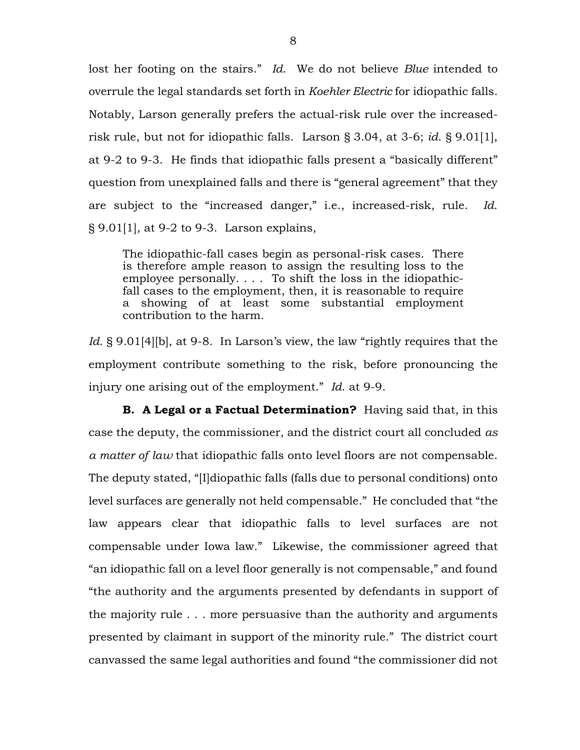lost her footing on the stairs." *Id*. We do not believe *Blue* intended to overrule the legal standards set forth in *Koehler Electric* for idiopathic falls. Notably, Larson generally prefers the actual-risk rule over the increasedrisk rule, but not for idiopathic falls. Larson § 3.04, at 3-6; *id*. § 9.01[1], at 9-2 to 9-3. He finds that idiopathic falls present a "basically different" question from unexplained falls and there is "general agreement" that they are subject to the "increased danger," i.e., increased-risk, rule. *Id*. § 9.01[1], at 9-2 to 9-3. Larson explains,

The idiopathic-fall cases begin as personal-risk cases. There is therefore ample reason to assign the resulting loss to the employee personally. . . . To shift the loss in the idiopathicfall cases to the employment, then, it is reasonable to require a showing of at least some substantial employment contribution to the harm.

Id. § 9.01<sup>[4]</sup>[b], at 9-8. In Larson's view, the law "rightly requires that the employment contribute something to the risk, before pronouncing the injury one arising out of the employment." *Id*. at 9-9.

**B. A Legal or a Factual Determination?** Having said that, in this case the deputy, the commissioner, and the district court all concluded *as a matter of law* that idiopathic falls onto level floors are not compensable. The deputy stated, "[I]diopathic falls (falls due to personal conditions) onto level surfaces are generally not held compensable." He concluded that "the law appears clear that idiopathic falls to level surfaces are not compensable under Iowa law." Likewise, the commissioner agreed that "an idiopathic fall on a level floor generally is not compensable," and found "the authority and the arguments presented by defendants in support of the majority rule . . . more persuasive than the authority and arguments presented by claimant in support of the minority rule." The district court canvassed the same legal authorities and found "the commissioner did not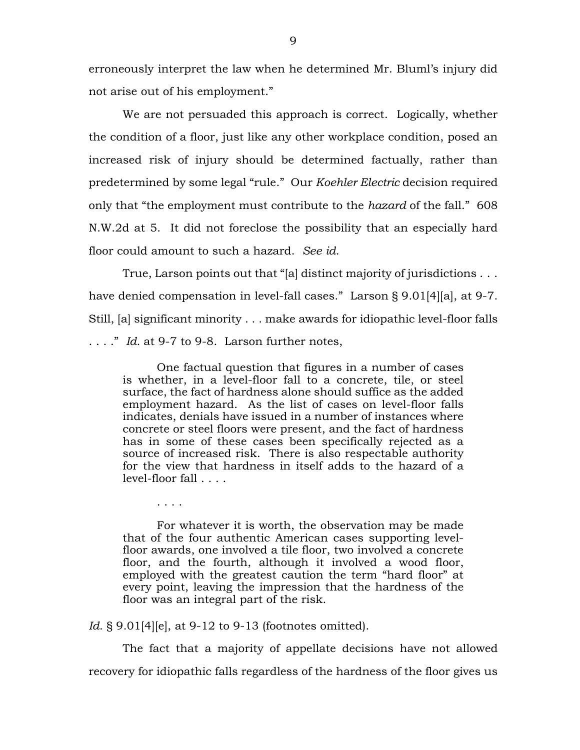erroneously interpret the law when he determined Mr. Bluml's injury did not arise out of his employment."

We are not persuaded this approach is correct. Logically, whether the condition of a floor, just like any other workplace condition, posed an increased risk of injury should be determined factually, rather than predetermined by some legal "rule." Our *Koehler Electric* decision required only that "the employment must contribute to the *hazard* of the fall." 608 N.W.2d at 5. It did not foreclose the possibility that an especially hard floor could amount to such a hazard. *See id*.

True, Larson points out that "[a] distinct majority of jurisdictions . . . have denied compensation in level-fall cases." Larson § 9.01[4][a], at 9-7. Still, [a] significant minority . . . make awards for idiopathic level-floor falls

. . . ." *Id.* at 9-7 to 9-8. Larson further notes,

. . . .

One factual question that figures in a number of cases is whether, in a level-floor fall to a concrete, tile, or steel surface, the fact of hardness alone should suffice as the added employment hazard. As the list of cases on level-floor falls indicates, denials have issued in a number of instances where concrete or steel floors were present, and the fact of hardness has in some of these cases been specifically rejected as a source of increased risk. There is also respectable authority for the view that hardness in itself adds to the hazard of a level-floor fall . . . .

For whatever it is worth, the observation may be made that of the four authentic American cases supporting levelfloor awards, one involved a tile floor, two involved a concrete floor, and the fourth, although it involved a wood floor, employed with the greatest caution the term "hard floor" at every point, leaving the impression that the hardness of the floor was an integral part of the risk.

*Id.* § 9.01[4][e], at 9-12 to 9-13 (footnotes omitted).

The fact that a majority of appellate decisions have not allowed recovery for idiopathic falls regardless of the hardness of the floor gives us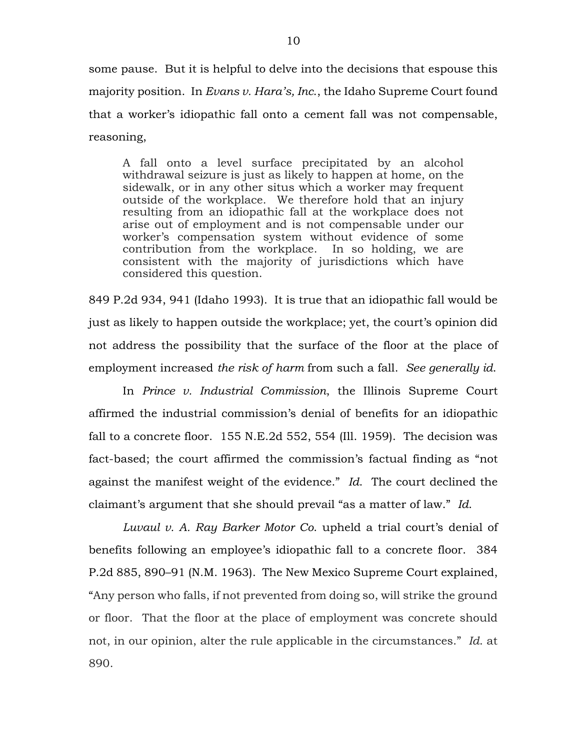some pause. But it is helpful to delve into the decisions that espouse this majority position. In *Evans v. Hara's, Inc*., the Idaho Supreme Court found that a worker's idiopathic fall onto a cement fall was not compensable, reasoning,

A fall onto a level surface precipitated by an alcohol withdrawal seizure is just as likely to happen at home, on the sidewalk, or in any other situs which a worker may frequent outside of the workplace. We therefore hold that an injury resulting from an idiopathic fall at the workplace does not arise out of employment and is not compensable under our worker's compensation system without evidence of some contribution from the workplace. In so holding, we are consistent with the majority of jurisdictions which have considered this question.

849 P.2d 934, 941 (Idaho 1993). It is true that an idiopathic fall would be just as likely to happen outside the workplace; yet, the court's opinion did not address the possibility that the surface of the floor at the place of employment increased *the risk of harm* from such a fall. *See generally id*.

In *Prince v. Industrial Commission*, the Illinois Supreme Court affirmed the industrial commission's denial of benefits for an idiopathic fall to a concrete floor. 155 N.E.2d 552, 554 (Ill. 1959). The decision was fact-based; the court affirmed the commission's factual finding as "not against the manifest weight of the evidence." *Id*. The court declined the claimant's argument that she should prevail "as a matter of law." *Id*.

*Luvaul v. A. Ray Barker Motor Co*. upheld a trial court's denial of benefits following an employee's idiopathic fall to a concrete floor. 384 P.2d 885, 890–91 (N.M. 1963). The New Mexico Supreme Court explained, "Any person who falls, if not prevented from doing so, will strike the ground or floor. That the floor at the place of employment was concrete should not, in our opinion, alter the rule applicable in the circumstances." *Id*. at 890.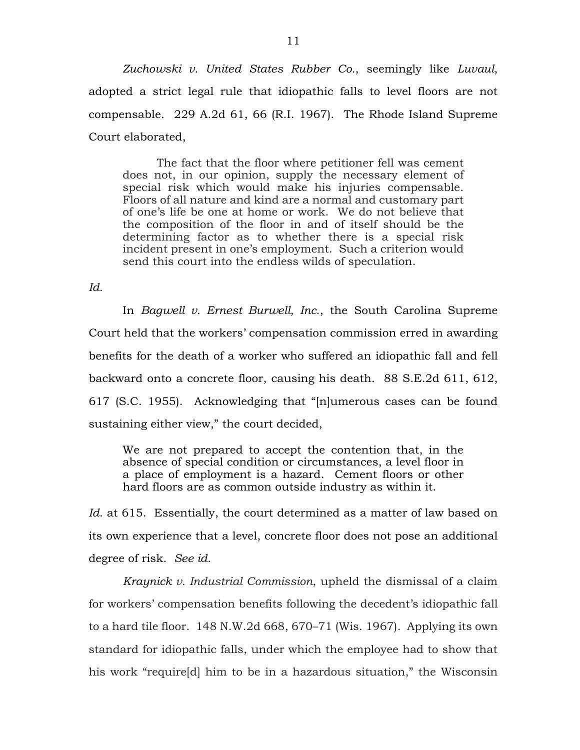*Zuchowski v. United States Rubber Co.*, seemingly like *Luvaul*, adopted a strict legal rule that idiopathic falls to level floors are not compensable. 229 A.2d 61, 66 (R.I. 1967). The Rhode Island Supreme Court elaborated,

The fact that the floor where petitioner fell was cement does not, in our opinion, supply the necessary element of special risk which would make his injuries compensable. Floors of all nature and kind are a normal and customary part of one's life be one at home or work. We do not believe that the composition of the floor in and of itself should be the determining factor as to whether there is a special risk incident present in one's employment. Such a criterion would send this court into the endless wilds of speculation.

*Id.*

In *Bagwell v. Ernest Burwell, Inc*., the South Carolina Supreme Court held that the workers' compensation commission erred in awarding benefits for the death of a worker who suffered an idiopathic fall and fell backward onto a concrete floor, causing his death. 88 S.E.2d 611, 612, 617 (S.C. 1955). Acknowledging that "[n]umerous cases can be found sustaining either view," the court decided,

We are not prepared to accept the contention that, in the absence of special condition or circumstances, a level floor in a place of employment is a hazard. Cement floors or other hard floors are as common outside industry as within it.

*Id*. at 615. Essentially, the court determined as a matter of law based on its own experience that a level, concrete floor does not pose an additional degree of risk. *See id*.

*Kraynick v. Industrial Commission*, upheld the dismissal of a claim for workers' compensation benefits following the decedent's idiopathic fall to a hard tile floor. 148 N.W.2d 668, 670–71 (Wis. 1967). Applying its own standard for idiopathic falls, under which the employee had to show that his work "require[d] him to be in a hazardous situation," the Wisconsin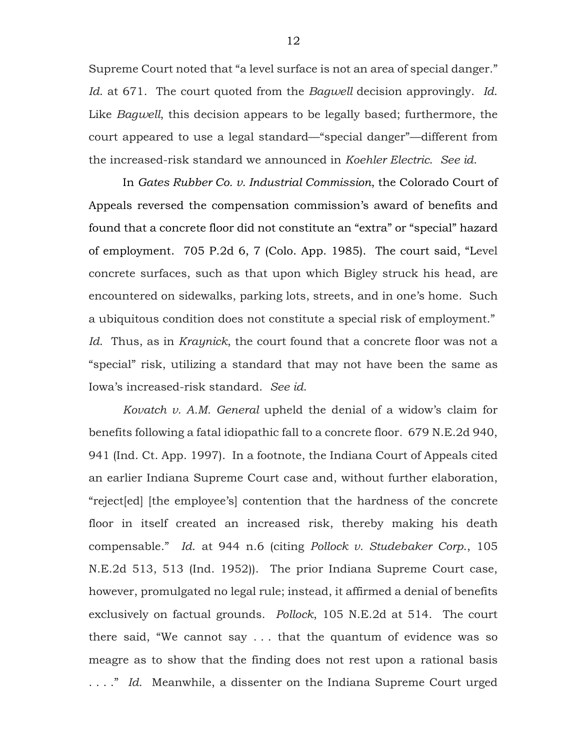Supreme Court noted that "a level surface is not an area of special danger." *Id*. at 671. The court quoted from the *Bagwell* decision approvingly. *Id*. Like *Bagwell*, this decision appears to be legally based; furthermore, the court appeared to use a legal standard—"special danger"—different from the increased-risk standard we announced in *Koehler Electric*. *See id*.

In *Gates Rubber Co. v. Industrial Commission*, the Colorado Court of Appeals reversed the compensation commission's award of benefits and found that a concrete floor did not constitute an "extra" or "special" hazard of employment. 705 P.2d 6, 7 (Colo. App. 1985). The court said, "Level concrete surfaces, such as that upon which Bigley struck his head, are encountered on sidewalks, parking lots, streets, and in one's home. Such a ubiquitous condition does not constitute a special risk of employment." *Id*. Thus, as in *Kraynick*, the court found that a concrete floor was not a "special" risk, utilizing a standard that may not have been the same as Iowa's increased-risk standard. *See id*.

*Kovatch v. A.M. General* upheld the denial of a widow's claim for benefits following a fatal idiopathic fall to a concrete floor*.* 679 N.E.2d 940, 941 (Ind. Ct. App. 1997). In a footnote, the Indiana Court of Appeals cited an earlier Indiana Supreme Court case and, without further elaboration, "reject[ed] [the employee's] contention that the hardness of the concrete floor in itself created an increased risk, thereby making his death compensable." *Id*. at 944 n.6 (citing *Pollock v. Studebaker Corp*., 105 N.E.2d 513, 513 (Ind. 1952)). The prior Indiana Supreme Court case, however, promulgated no legal rule; instead, it affirmed a denial of benefits exclusively on factual grounds. *Pollock*, 105 N.E.2d at 514. The court there said, "We cannot say . . . that the quantum of evidence was so meagre as to show that the finding does not rest upon a rational basis . . . ." *Id*. Meanwhile, a dissenter on the Indiana Supreme Court urged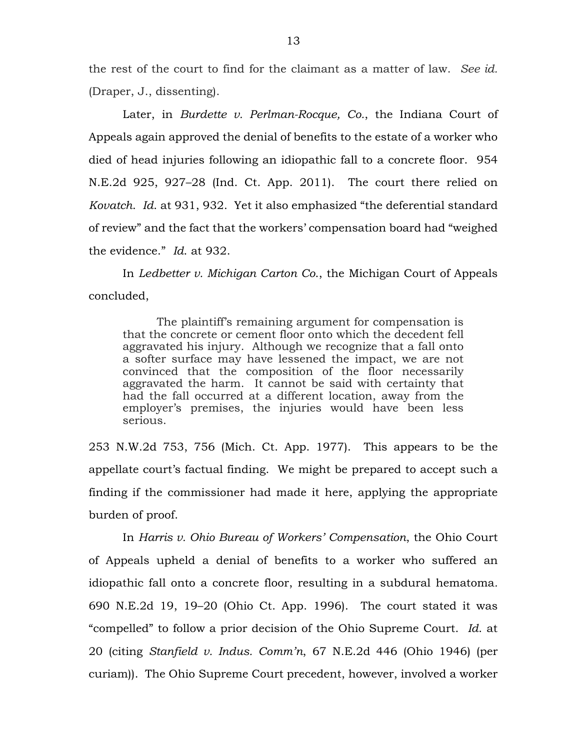the rest of the court to find for the claimant as a matter of law. *See id.* (Draper, J., dissenting).

Later, in *Burdette v. Perlman-Rocque, Co.*, the Indiana Court of Appeals again approved the denial of benefits to the estate of a worker who died of head injuries following an idiopathic fall to a concrete floor. 954 N.E.2d 925, 927–28 (Ind. Ct. App. 2011). The court there relied on *Kovatch*. *Id*. at 931, 932. Yet it also emphasized "the deferential standard of review" and the fact that the workers' compensation board had "weighed the evidence." *Id*. at 932.

In *Ledbetter v. Michigan Carton Co*., the Michigan Court of Appeals concluded,

The plaintiff's remaining argument for compensation is that the concrete or cement floor onto which the decedent fell aggravated his injury. Although we recognize that a fall onto a softer surface may have lessened the impact, we are not convinced that the composition of the floor necessarily aggravated the harm. It cannot be said with certainty that had the fall occurred at a different location, away from the employer's premises, the injuries would have been less serious.

253 N.W.2d 753, 756 (Mich. Ct. App. 1977). This appears to be the appellate court's factual finding. We might be prepared to accept such a finding if the commissioner had made it here, applying the appropriate burden of proof.

In *Harris v. Ohio Bureau of Workers' Compensation*, the Ohio Court of Appeals upheld a denial of benefits to a worker who suffered an idiopathic fall onto a concrete floor, resulting in a subdural hematoma*.*  690 N.E.2d 19, 19–20 (Ohio Ct. App. 1996). The court stated it was "compelled" to follow a prior decision of the Ohio Supreme Court. *Id*. at 20 (citing *Stanfield v. Indus. Comm'n*, 67 N.E.2d 446 (Ohio 1946) (per curiam)). The Ohio Supreme Court precedent, however, involved a worker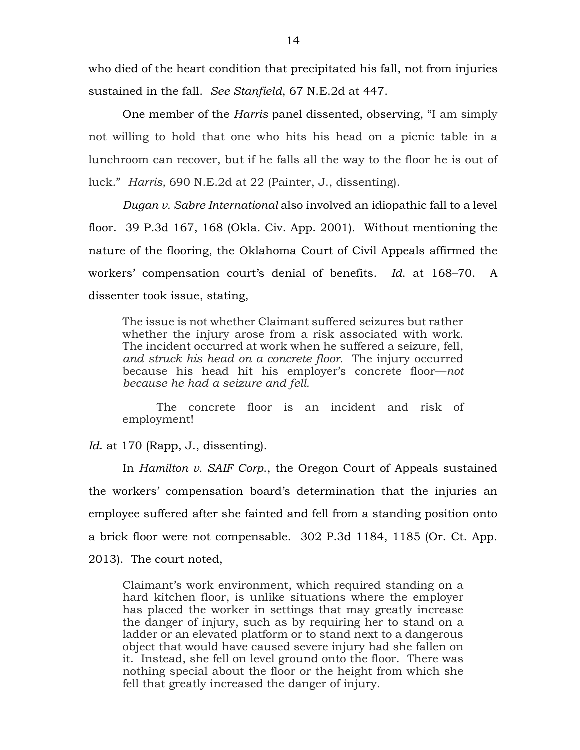who died of the heart condition that precipitated his fall, not from injuries sustained in the fall. *See Stanfield*, 67 N.E.2d at 447.

One member of the *Harris* panel dissented, observing, "I am simply not willing to hold that one who hits his head on a picnic table in a lunchroom can recover, but if he falls all the way to the floor he is out of luck." *Harris,* 690 N.E.2d at 22 (Painter, J., dissenting).

*Dugan v. Sabre International* also involved an idiopathic fall to a level floor. 39 P.3d 167, 168 (Okla. Civ. App. 2001). Without mentioning the nature of the flooring, the Oklahoma Court of Civil Appeals affirmed the workers' compensation court's denial of benefits. *Id*. at 168–70. A dissenter took issue, stating,

The issue is not whether Claimant suffered seizures but rather whether the injury arose from a risk associated with work. The incident occurred at work when he suffered a seizure, fell, *and struck his head on a concrete floor.* The injury occurred because his head hit his employer's concrete floor—*not because he had a seizure and fell.*

The concrete floor is an incident and risk of employment!

Id. at 170 (Rapp, J., dissenting).

In *Hamilton v. SAIF Corp*., the Oregon Court of Appeals sustained the workers' compensation board's determination that the injuries an employee suffered after she fainted and fell from a standing position onto a brick floor were not compensable. 302 P.3d 1184, 1185 (Or. Ct. App. 2013). The court noted,

Claimant's work environment, which required standing on a hard kitchen floor, is unlike situations where the employer has placed the worker in settings that may greatly increase the danger of injury, such as by requiring her to stand on a ladder or an elevated platform or to stand next to a dangerous object that would have caused severe injury had she fallen on it. Instead, she fell on level ground onto the floor. There was nothing special about the floor or the height from which she fell that greatly increased the danger of injury.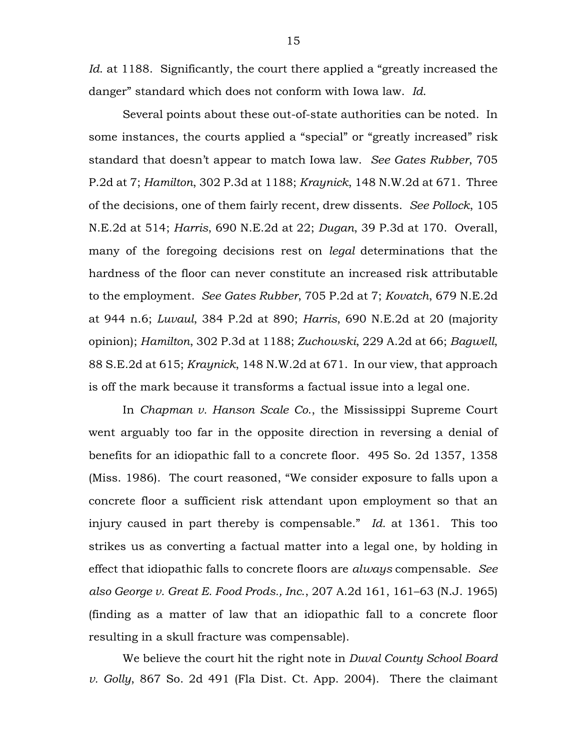*Id.* at 1188. Significantly, the court there applied a "greatly increased the danger" standard which does not conform with Iowa law. *Id*.

Several points about these out-of-state authorities can be noted. In some instances, the courts applied a "special" or "greatly increased" risk standard that doesn't appear to match Iowa law. *See Gates Rubber*, 705 P.2d at 7; *Hamilton*, 302 P.3d at 1188; *Kraynick*, 148 N.W.2d at 671. Three of the decisions, one of them fairly recent, drew dissents. *See Pollock*, 105 N.E.2d at 514; *Harris*, 690 N.E.2d at 22; *Dugan*, 39 P.3d at 170. Overall, many of the foregoing decisions rest on *legal* determinations that the hardness of the floor can never constitute an increased risk attributable to the employment. *See Gates Rubber*, 705 P.2d at 7; *Kovatch*, 679 N.E.2d at 944 n.6; *Luvaul*, 384 P.2d at 890; *Harris*, 690 N.E.2d at 20 (majority opinion); *Hamilton*, 302 P.3d at 1188; *Zuchowski*, 229 A.2d at 66; *Bagwell*, 88 S.E.2d at 615; *Kraynick*, 148 N.W.2d at 671. In our view, that approach is off the mark because it transforms a factual issue into a legal one.

In *Chapman v. Hanson Scale Co*., the Mississippi Supreme Court went arguably too far in the opposite direction in reversing a denial of benefits for an idiopathic fall to a concrete floor. 495 So. 2d 1357, 1358 (Miss. 1986). The court reasoned, "We consider exposure to falls upon a concrete floor a sufficient risk attendant upon employment so that an injury caused in part thereby is compensable." *Id.* at 1361. This too strikes us as converting a factual matter into a legal one, by holding in effect that idiopathic falls to concrete floors are *always* compensable. *See also George v. Great E. Food Prods., Inc*., 207 A.2d 161, 161–63 (N.J. 1965) (finding as a matter of law that an idiopathic fall to a concrete floor resulting in a skull fracture was compensable).

We believe the court hit the right note in *Duval County School Board v. Golly*, 867 So. 2d 491 (Fla Dist. Ct. App. 2004). There the claimant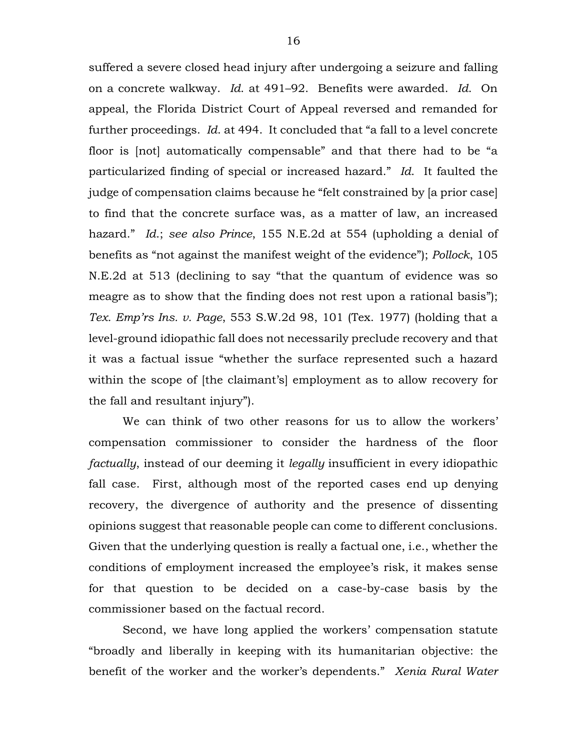suffered a severe closed head injury after undergoing a seizure and falling on a concrete walkway. *Id*. at 491–92. Benefits were awarded. *Id*. On appeal, the Florida District Court of Appeal reversed and remanded for further proceedings. *Id*. at 494. It concluded that "a fall to a level concrete floor is [not] automatically compensable" and that there had to be "a particularized finding of special or increased hazard." *Id*. It faulted the judge of compensation claims because he "felt constrained by [a prior case] to find that the concrete surface was, as a matter of law, an increased hazard." *Id*.; *see also Prince*, 155 N.E.2d at 554 (upholding a denial of benefits as "not against the manifest weight of the evidence"); *Pollock*, 105 N.E.2d at 513 (declining to say "that the quantum of evidence was so meagre as to show that the finding does not rest upon a rational basis"); *Tex. Emp'rs Ins. v. Page*, 553 S.W.2d 98, 101 (Tex. 1977) (holding that a level-ground idiopathic fall does not necessarily preclude recovery and that it was a factual issue "whether the surface represented such a hazard within the scope of [the claimant's] employment as to allow recovery for the fall and resultant injury").

We can think of two other reasons for us to allow the workers' compensation commissioner to consider the hardness of the floor *factually*, instead of our deeming it *legally* insufficient in every idiopathic fall case. First, although most of the reported cases end up denying recovery, the divergence of authority and the presence of dissenting opinions suggest that reasonable people can come to different conclusions. Given that the underlying question is really a factual one, i.e., whether the conditions of employment increased the employee's risk, it makes sense for that question to be decided on a case-by-case basis by the commissioner based on the factual record.

Second, we have long applied the workers' compensation statute "broadly and liberally in keeping with its humanitarian objective: the benefit of the worker and the worker's dependents." *Xenia Rural Water*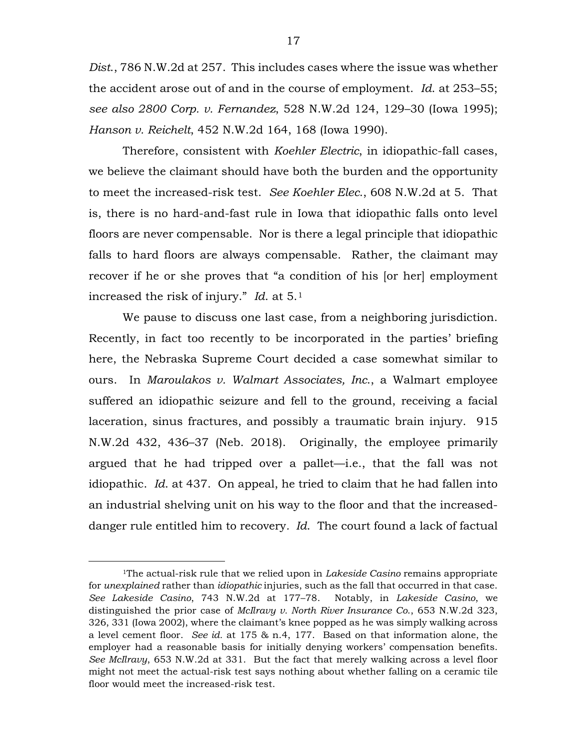*Dist*., 786 N.W.2d at 257. This includes cases where the issue was whether the accident arose out of and in the course of employment. *Id*. at 253–55; *see also 2800 Corp. v. Fernandez*, 528 N.W.2d 124, 129–30 (Iowa 1995); *Hanson v. Reichelt*, 452 N.W.2d 164, 168 (Iowa 1990).

Therefore, consistent with *Koehler Electric*, in idiopathic-fall cases, we believe the claimant should have both the burden and the opportunity to meet the increased-risk test. *See Koehler Elec*., 608 N.W.2d at 5. That is, there is no hard-and-fast rule in Iowa that idiopathic falls onto level floors are never compensable. Nor is there a legal principle that idiopathic falls to hard floors are always compensable. Rather, the claimant may recover if he or she proves that "a condition of his [or her] employment increased the risk of injury." *Id*. at 5.[1](#page-16-0)

We pause to discuss one last case, from a neighboring jurisdiction. Recently, in fact too recently to be incorporated in the parties' briefing here, the Nebraska Supreme Court decided a case somewhat similar to ours. In *Maroulakos v. Walmart Associates, Inc*., a Walmart employee suffered an idiopathic seizure and fell to the ground, receiving a facial laceration, sinus fractures, and possibly a traumatic brain injury. 915 N.W.2d 432, 436–37 (Neb. 2018). Originally, the employee primarily argued that he had tripped over a pallet—i.e., that the fall was not idiopathic. *Id*. at 437. On appeal, he tried to claim that he had fallen into an industrial shelving unit on his way to the floor and that the increaseddanger rule entitled him to recovery*. Id*. The court found a lack of factual

<span id="page-16-0"></span> <sup>1</sup>The actual-risk rule that we relied upon in *Lakeside Casino* remains appropriate for *unexplained* rather than *idiopathic* injuries, such as the fall that occurred in that case. *See Lakeside Casino*, 743 N.W.2d at 177–78. Notably, in *Lakeside Casino*, we distinguished the prior case of *McIlravy v. North River Insurance Co*., 653 N.W.2d 323, 326, 331 (Iowa 2002), where the claimant's knee popped as he was simply walking across a level cement floor. *See id.* at 175 & n.4, 177. Based on that information alone, the employer had a reasonable basis for initially denying workers' compensation benefits. *See McIlravy*, 653 N.W.2d at 331. But the fact that merely walking across a level floor might not meet the actual-risk test says nothing about whether falling on a ceramic tile floor would meet the increased-risk test.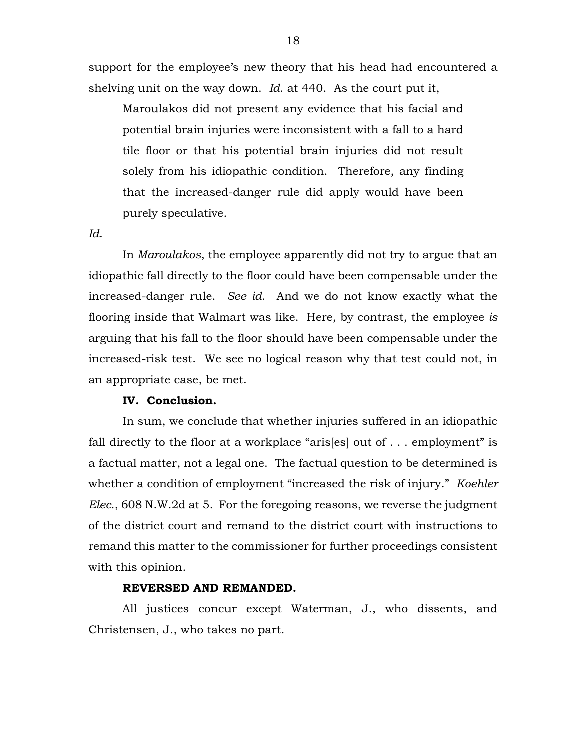support for the employee's new theory that his head had encountered a shelving unit on the way down. *Id*. at 440. As the court put it,

Maroulakos did not present any evidence that his facial and potential [brain injuries](https://1.next.westlaw.com/Link/Document/FullText?entityType=injury&entityId=Iaf351cbb475411db9765f9243f53508a&originationContext=document&transitionType=DocumentItem&contextData=(sc.Default)) were inconsistent with a fall to a hard tile floor or that his potential [brain injuries](https://1.next.westlaw.com/Link/Document/FullText?entityType=injury&entityId=Iaf351cbb475411db9765f9243f53508a&originationContext=document&transitionType=DocumentItem&contextData=(sc.Default)) did not result solely from his idiopathic condition. Therefore, any finding that the increased-danger rule did apply would have been purely speculative.

*Id*.

In *Maroulakos*, the employee apparently did not try to argue that an idiopathic fall directly to the floor could have been compensable under the increased-danger rule. *See id*. And we do not know exactly what the flooring inside that Walmart was like. Here, by contrast, the employee *is* arguing that his fall to the floor should have been compensable under the increased-risk test. We see no logical reason why that test could not, in an appropriate case, be met.

# **IV. Conclusion.**

In sum, we conclude that whether injuries suffered in an idiopathic fall directly to the floor at a workplace "aris[es] out of  $\dots$  employment" is a factual matter, not a legal one. The factual question to be determined is whether a condition of employment "increased the risk of injury." *Koehler Elec*., 608 N.W.2d at 5. For the foregoing reasons, we reverse the judgment of the district court and remand to the district court with instructions to remand this matter to the commissioner for further proceedings consistent with this opinion.

## **REVERSED AND REMANDED.**

All justices concur except Waterman, J., who dissents, and Christensen, J., who takes no part.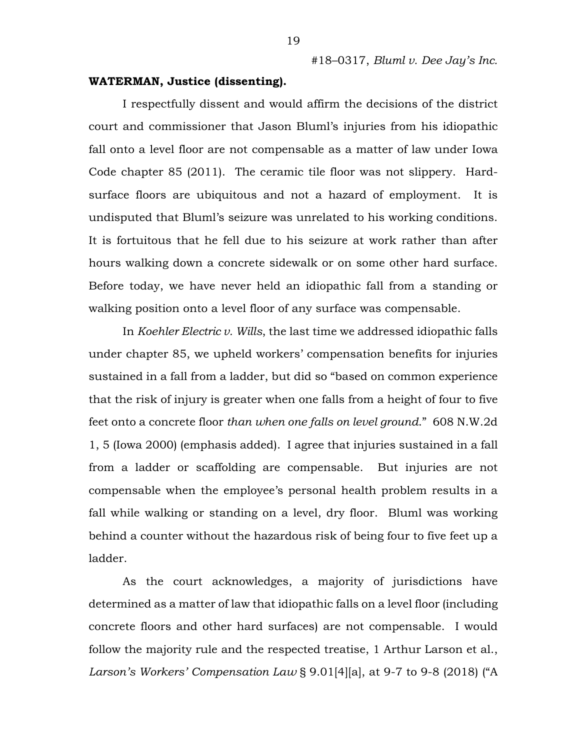#### **WATERMAN, Justice (dissenting).**

I respectfully dissent and would affirm the decisions of the district court and commissioner that Jason Bluml's injuries from his idiopathic fall onto a level floor are not compensable as a matter of law under Iowa Code chapter 85 (2011). The ceramic tile floor was not slippery. Hardsurface floors are ubiquitous and not a hazard of employment. It is undisputed that Bluml's seizure was unrelated to his working conditions. It is fortuitous that he fell due to his seizure at work rather than after hours walking down a concrete sidewalk or on some other hard surface. Before today, we have never held an idiopathic fall from a standing or walking position onto a level floor of any surface was compensable.

In *Koehler Electric v. Wills*, the last time we addressed idiopathic falls under chapter 85, we upheld workers' compensation benefits for injuries sustained in a fall from a ladder, but did so "based on common experience that the risk of injury is greater when one falls from a height of four to five feet onto a concrete floor *than when one falls on level ground*." 608 N.W.2d 1, 5 (Iowa 2000) (emphasis added). I agree that injuries sustained in a fall from a ladder or scaffolding are compensable. But injuries are not compensable when the employee's personal health problem results in a fall while walking or standing on a level, dry floor. Bluml was working behind a counter without the hazardous risk of being four to five feet up a ladder.

As the court acknowledges, a majority of jurisdictions have determined as a matter of law that idiopathic falls on a level floor (including concrete floors and other hard surfaces) are not compensable. I would follow the majority rule and the respected treatise, 1 Arthur Larson et al., *Larson's Workers' Compensation Law* § 9.01[4][a], at 9-7 to 9-8 (2018) ("A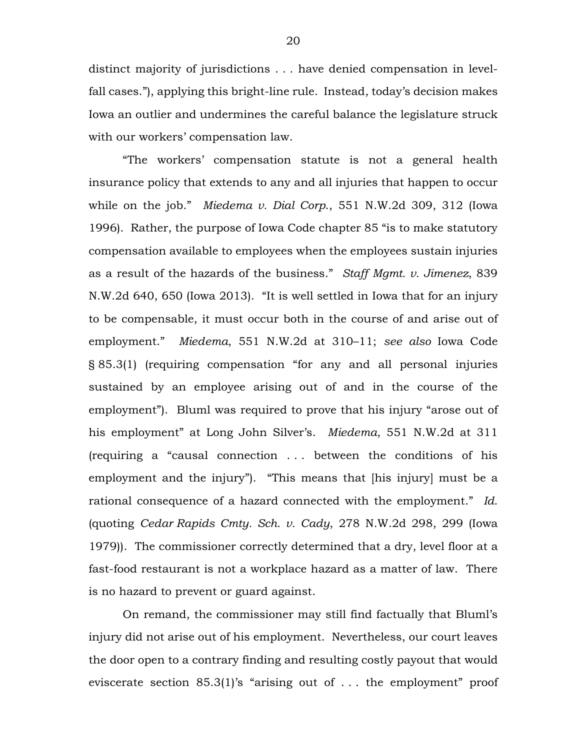distinct majority of jurisdictions . . . have denied compensation in levelfall cases."), applying this bright-line rule. Instead, today's decision makes Iowa an outlier and undermines the careful balance the legislature struck with our workers' compensation law.

"The workers' compensation statute is not a general health insurance policy that extends to any and all injuries that happen to occur while on the job." *Miedema v. Dial Corp*., 551 N.W.2d 309, 312 (Iowa 1996). Rather, the purpose of Iowa Code chapter 85 "is to make statutory compensation available to employees when the employees sustain injuries as a result of the hazards of the business." *Staff Mgmt. v. Jimenez*, 839 N.W.2d 640, 650 (Iowa 2013). "It is well settled in Iowa that for an injury to be compensable, it must occur both in the course of and arise out of employment." *Miedema*, 551 N.W.2d at 310–11; *see also* Iowa Code § 85.3(1) (requiring compensation "for any and all personal injuries sustained by an employee arising out of and in the course of the employment"). Bluml was required to prove that his injury "arose out of his employment" at Long John Silver's. *Miedema*, 551 N.W.2d at 311 (requiring a "causal connection . . . between the conditions of his employment and the injury"). "This means that [his injury] must be a rational consequence of a hazard connected with the employment." *Id.* (quoting *Cedar Rapids Cmty. Sch. v. Cady*, 278 N.W.2d 298, 299 (Iowa 1979)). The commissioner correctly determined that a dry, level floor at a fast-food restaurant is not a workplace hazard as a matter of law. There is no hazard to prevent or guard against.

On remand, the commissioner may still find factually that Bluml's injury did not arise out of his employment. Nevertheless, our court leaves the door open to a contrary finding and resulting costly payout that would eviscerate section 85.3(1)'s "arising out of . . . the employment" proof